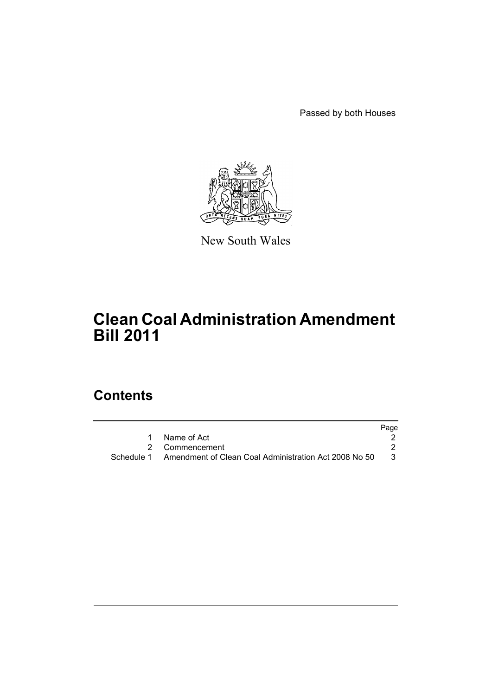Passed by both Houses



New South Wales

# **Clean Coal Administration Amendment Bill 2011**

# **Contents**

|                                                                    | Page |
|--------------------------------------------------------------------|------|
| Name of Act                                                        |      |
| 2 Commencement                                                     |      |
| Schedule 1   Amendment of Clean Coal Administration Act 2008 No 50 | -3   |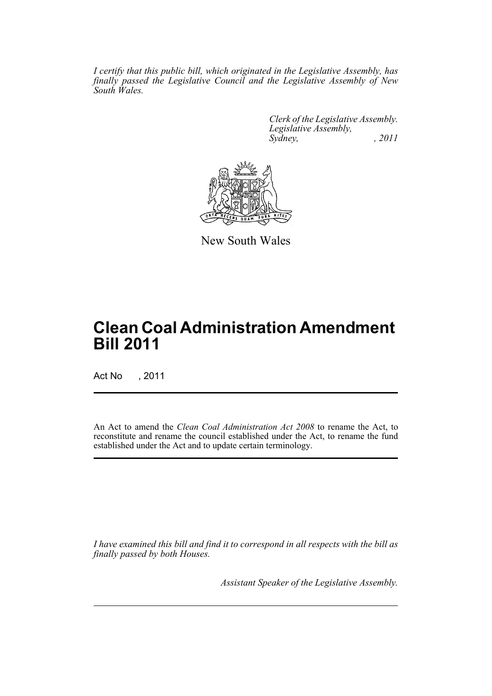*I certify that this public bill, which originated in the Legislative Assembly, has finally passed the Legislative Council and the Legislative Assembly of New South Wales.*

> *Clerk of the Legislative Assembly. Legislative Assembly, Sydney, , 2011*



New South Wales

# **Clean Coal Administration Amendment Bill 2011**

Act No , 2011

An Act to amend the *Clean Coal Administration Act 2008* to rename the Act, to reconstitute and rename the council established under the Act, to rename the fund established under the Act and to update certain terminology.

*I have examined this bill and find it to correspond in all respects with the bill as finally passed by both Houses.*

*Assistant Speaker of the Legislative Assembly.*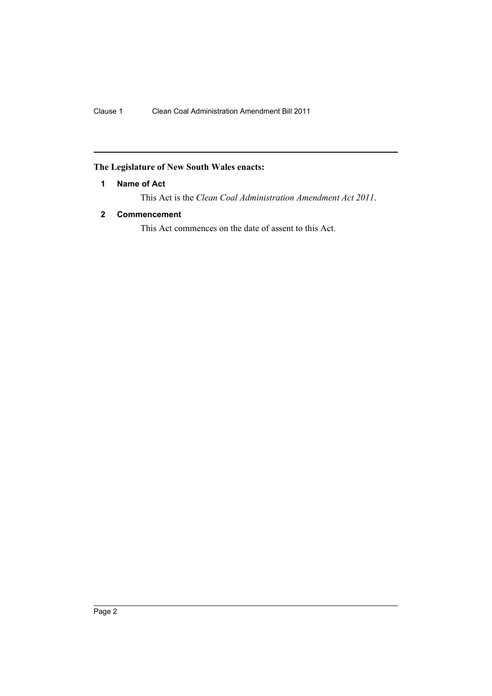# <span id="page-3-0"></span>**The Legislature of New South Wales enacts:**

# **1 Name of Act**

This Act is the *Clean Coal Administration Amendment Act 2011*.

# <span id="page-3-1"></span>**2 Commencement**

This Act commences on the date of assent to this Act.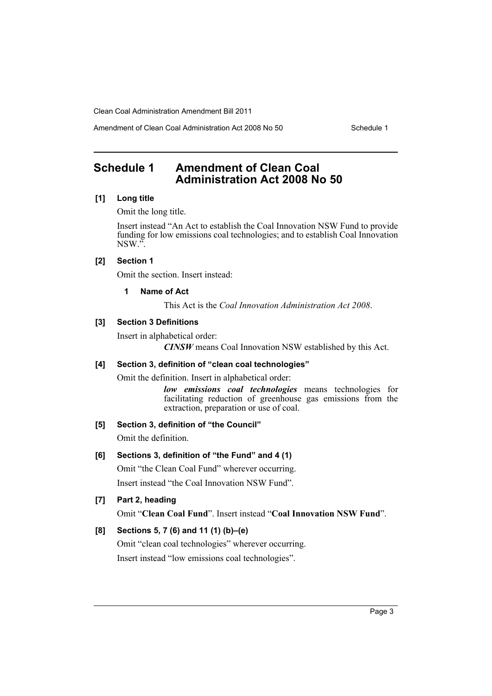Amendment of Clean Coal Administration Act 2008 No 50 Schedule 1

# <span id="page-4-0"></span>**Schedule 1 Amendment of Clean Coal Administration Act 2008 No 50**

# **[1] Long title**

Omit the long title.

Insert instead "An Act to establish the Coal Innovation NSW Fund to provide funding for low emissions coal technologies; and to establish Coal Innovation NSW.".

## **[2] Section 1**

Omit the section. Insert instead:

#### **1 Name of Act**

This Act is the *Coal Innovation Administration Act 2008*.

# **[3] Section 3 Definitions**

Insert in alphabetical order:

*CINSW* means Coal Innovation NSW established by this Act.

## **[4] Section 3, definition of "clean coal technologies"**

Omit the definition. Insert in alphabetical order:

*low emissions coal technologies* means technologies for facilitating reduction of greenhouse gas emissions from the extraction, preparation or use of coal.

## **[5] Section 3, definition of "the Council"**

Omit the definition.

## **[6] Sections 3, definition of "the Fund" and 4 (1)**

Omit "the Clean Coal Fund" wherever occurring. Insert instead "the Coal Innovation NSW Fund".

## **[7] Part 2, heading**

Omit "**Clean Coal Fund**". Insert instead "**Coal Innovation NSW Fund**".

# **[8] Sections 5, 7 (6) and 11 (1) (b)–(e)**

Omit "clean coal technologies" wherever occurring. Insert instead "low emissions coal technologies".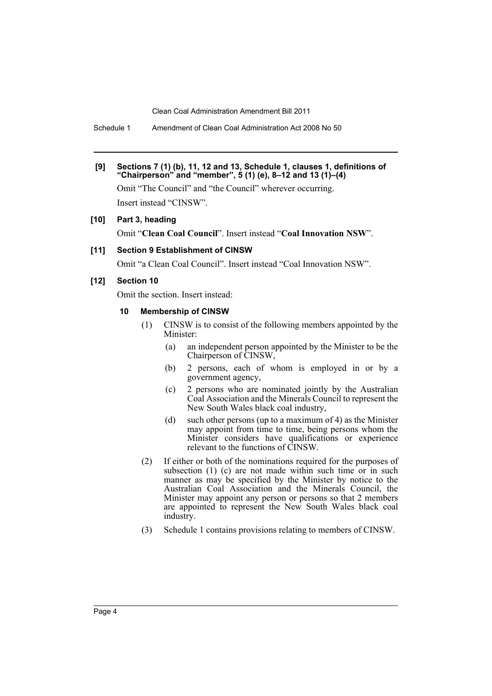Schedule 1 Amendment of Clean Coal Administration Act 2008 No 50

#### **[9] Sections 7 (1) (b), 11, 12 and 13, Schedule 1, clauses 1, definitions of "Chairperson" and "member", 5 (1) (e), 8–12 and 13 (1)–(4)**

Omit "The Council" and "the Council" wherever occurring. Insert instead "CINSW".

#### **[10] Part 3, heading**

Omit "**Clean Coal Council**". Insert instead "**Coal Innovation NSW**".

#### **[11] Section 9 Establishment of CINSW**

Omit "a Clean Coal Council". Insert instead "Coal Innovation NSW".

#### **[12] Section 10**

Omit the section. Insert instead:

### **10 Membership of CINSW**

- (1) CINSW is to consist of the following members appointed by the Minister:
	- (a) an independent person appointed by the Minister to be the Chairperson of CINSW,
	- (b) 2 persons, each of whom is employed in or by a government agency,
	- (c) 2 persons who are nominated jointly by the Australian Coal Association and the Minerals Council to represent the New South Wales black coal industry,
	- (d) such other persons (up to a maximum of 4) as the Minister may appoint from time to time, being persons whom the Minister considers have qualifications or experience relevant to the functions of CINSW.
- (2) If either or both of the nominations required for the purposes of subsection  $(1)$  (c) are not made within such time or in such manner as may be specified by the Minister by notice to the Australian Coal Association and the Minerals Council, the Minister may appoint any person or persons so that 2 members are appointed to represent the New South Wales black coal industry.
- (3) Schedule 1 contains provisions relating to members of CINSW.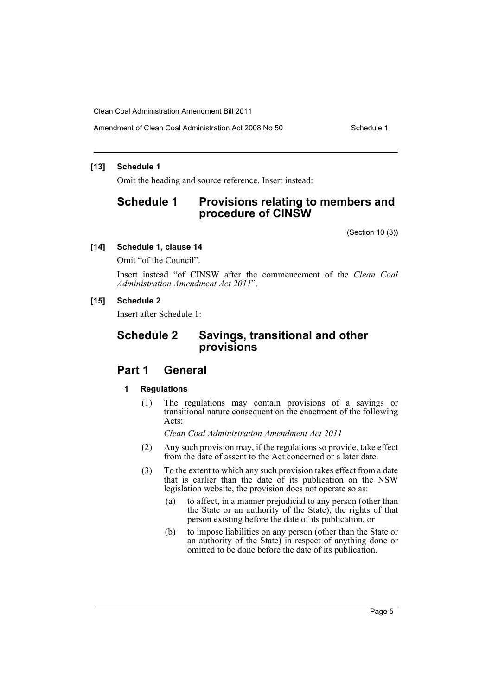Amendment of Clean Coal Administration Act 2008 No 50 Schedule 1

#### **[13] Schedule 1**

Omit the heading and source reference. Insert instead:

# **Schedule 1 Provisions relating to members and procedure of CINSW**

(Section 10 (3))

### **[14] Schedule 1, clause 14**

Omit "of the Council".

Insert instead "of CINSW after the commencement of the *Clean Coal Administration Amendment Act 2011*".

#### **[15] Schedule 2**

Insert after Schedule 1:

# **Schedule 2 Savings, transitional and other provisions**

# **Part 1 General**

#### **1 Regulations**

(1) The regulations may contain provisions of a savings or transitional nature consequent on the enactment of the following Acts:

*Clean Coal Administration Amendment Act 2011*

- (2) Any such provision may, if the regulations so provide, take effect from the date of assent to the Act concerned or a later date.
- (3) To the extent to which any such provision takes effect from a date that is earlier than the date of its publication on the NSW legislation website, the provision does not operate so as:
	- (a) to affect, in a manner prejudicial to any person (other than the State or an authority of the State), the rights of that person existing before the date of its publication, or
	- (b) to impose liabilities on any person (other than the State or an authority of the State) in respect of anything done or omitted to be done before the date of its publication.